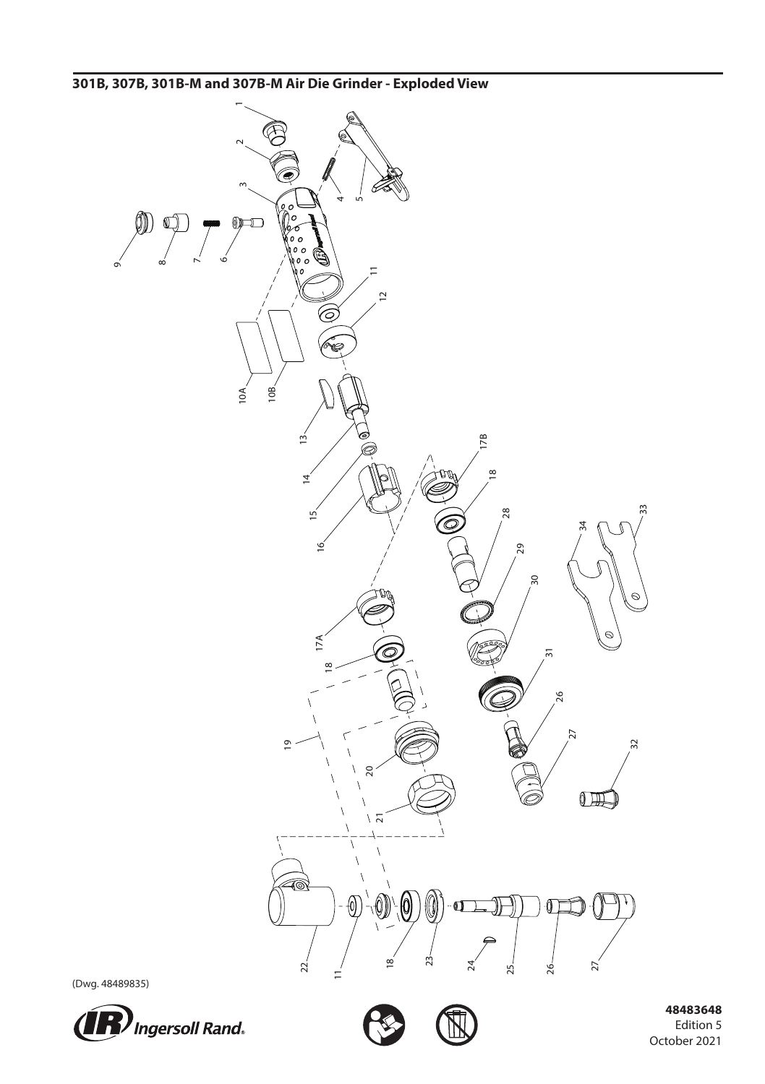**301B, 307B, 301B-M and 307B-M Air Die Grinder - Exploded View**



(Dwg. 48489835)





 **48483648** Edition 5 October 2021